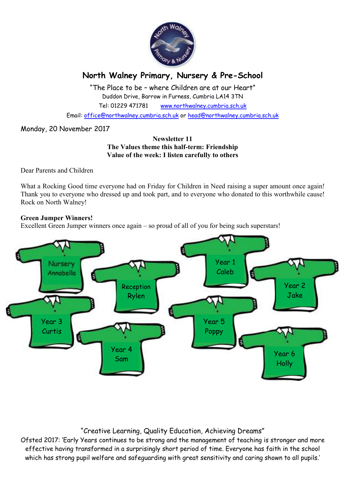

# **North Walney Primary, Nursery & Pre-School**

"The Place to be – where Children are at our Heart" Duddon Drive, Barrow in Furness, Cumbria LA14 3TN Tel: 01229 471781 www.northwalney.cumbria.sch.uk

Email: office@northwalney.cumbria.sch.uk or head@northwalney.cumbria.sch.uk

# Monday, 20 November 2017

## **Newsletter 11 The Values theme this half-term: Friendship Value of the week: I listen carefully to others**

Dear Parents and Children

What a Rocking Good time everyone had on Friday for Children in Need raising a super amount once again! Thank you to everyone who dressed up and took part, and to everyone who donated to this worthwhile cause! Rock on North Walney!

# **Green Jumper Winners!**

Excellent Green Jumper winners once again – so proud of all of you for being such superstars!



# "Creative Learning, Quality Education, Achieving Dreams"

Ofsted 2017: 'Early Years continues to be strong and the management of teaching is stronger and more effective having transformed in a surprisingly short period of time. Everyone has faith in the school which has strong pupil welfare and safeguarding with great sensitivity and caring shown to all pupils.'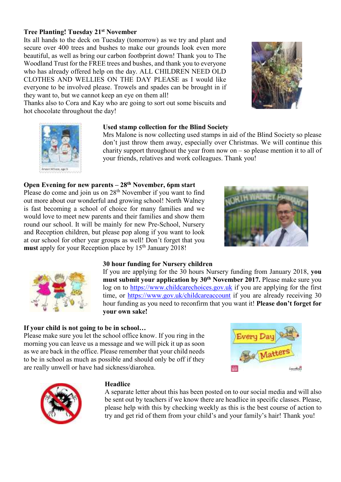# **Tree Planting! Tuesday 21st November**

Its all hands to the deck on Tuesday (tomorrow) as we try and plant and secure over 400 trees and bushes to make our grounds look even more beautiful, as well as bring our carbon footbprint down! Thank you to The Woodland Trust for the FREE trees and bushes, and thank you to everyone who has already offered help on the day. ALL CHILDREN NEED OLD CLOTHES AND WELLIES ON THE DAY PLEASE as I would like everyone to be involved please. Trowels and spades can be brought in if they want to, but we cannot keep an eye on them all!



Thanks also to Cora and Kay who are going to sort out some biscuits and hot chocolate throughout the day!



## **Used stamp collection for the Blind Society**

Mrs Malone is now collecting used stamps in aid of the Blind Society so please don't just throw them away, especially over Christmas. We will continue this charity support throughout the year from now on – so please mention it to all of your friends, relatives and work colleagues. Thank you!

# **Open Evening for new parents – 28th November, 6pm start**

Please do come and join us on 28<sup>th</sup> November if you want to find out more about our wonderful and growing school! North Walney is fast becoming a school of choice for many families and we would love to meet new parents and their families and show them round our school. It will be mainly for new Pre-School, Nursery and Reception children, but please pop along if you want to look at our school for other year groups as well! Don't forget that you must apply for your Reception place by 15<sup>th</sup> January 2018!





#### **30 hour funding for Nursery children**

If you are applying for the 30 hours Nursery funding from January 2018, **you must submit your application by 30th November 2017.** Please make sure you log on to https://www.childcarechoices.gov.uk if you are applying for the first time, or https://www.gov.uk/childcareaccount if you are already receiving 30 hour funding as you need to reconfirm that you want it! **Please don't forget for your own sake!** 

#### **If your child is not going to be in school…**

Please make sure you let the school office know. If you ring in the morning you can leave us a message and we will pick it up as soon as we are back in the office. Please remember that your child needs to be in school as much as possible and should only be off if they are really unwell or have had sickness/diarohea.





#### **Headlice**

A separate letter about this has been posted on to our social media and will also be sent out by teachers if we know there are headlice in specific classes. Please, please help with this by checking weekly as this is the best course of action to try and get rid of them from your child's and your family's hair! Thank you!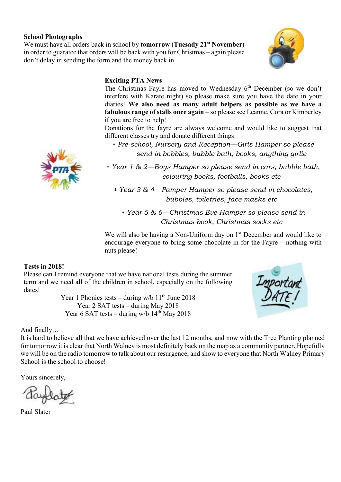# **School Photographs**

We must have all orders back in school by **tomorrow (Tuesady 21st November)** in order to guaratee that orders will be back with you for Christmas – again please don't delay in sending the form and the money back in.



# **Exciting PTA News**

The Christmas Fayre has moved to Wednesday 6<sup>th</sup> December (so we don't interfere with Karate night) so please make sure you have the date in your diaries! **We also need as many adult helpers as possible as we have a fabulous range of stalls once again** – so please see Leanne, Cora or Kimberley if you are free to help!

Donations for the fayre are always welcome and would like to suggest that different classes try and donate different things:

∗ *Pre-school, Nursery and Reception—Girls Hamper so please send in bobbles, bubble bath, books, anything girlie* 

∗ *Year 1 & 2—Boys Hamper so please send in cars, bubble bath, colouring books, footballs, books etc* 

∗ *Year 3 & 4—Pamper Hamper so please send in chocolates, bubbles, toiletries, face masks etc* 

∗ *Year 5 & 6—Christmas Eve Hamper so please send in Christmas book, Christmas socks etc* 

We will also be having a Non-Uniform day on  $1<sup>st</sup>$  December and would like to encourage everyone to bring some chocolate in for the Fayre – nothing with nuts please!

#### **Tests in 2018!**

Please can I remind everyone that we have national tests during the summer term and we need all of the children in school, especially on the following dates!

> Year 1 Phonics tests – during w/b  $11<sup>th</sup>$  June 2018 Year 2 SAT tests – during May 2018 Year 6 SAT tests – during w/b  $14<sup>th</sup>$  May 2018



#### And finally…

It is hard to believe all that we have achieved over the last 12 months, and now with the Tree Planting planned for tomorrow it is clear that North Walney is most definitely back on the map as a community partner. Hopefully we will be on the radio tomorrow to talk about our resurgence, and show to everyone that North Walney Primary School is the school to choose!

Yours sincerely,

Paul Slater